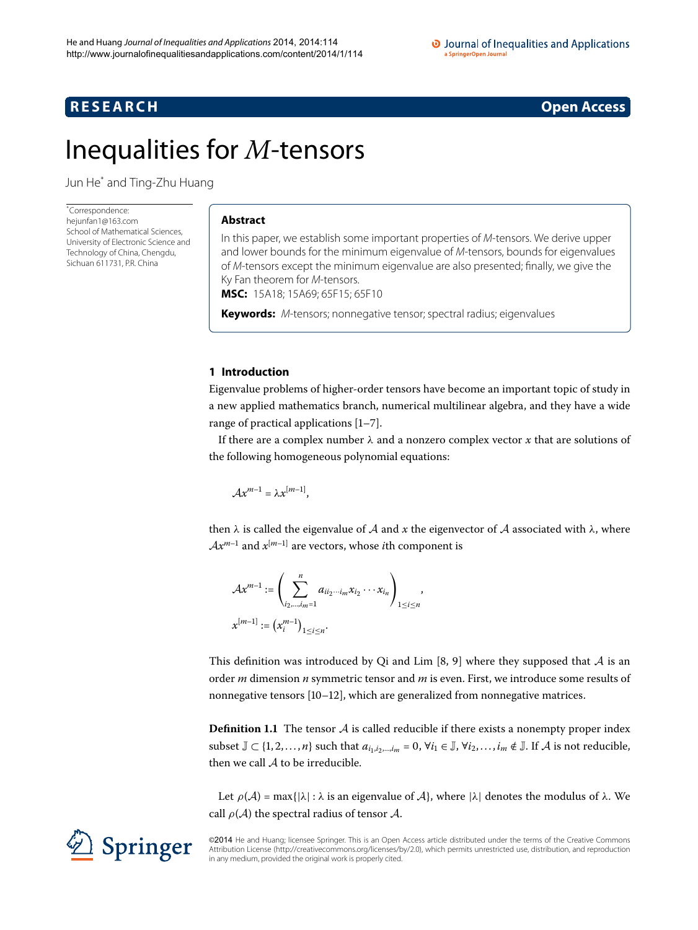## <span id="page-0-0"></span>**R E S E A R C H Open Access**

# Inequalities for *M*-tensors

Jun He[\\*](#page-0-0) and Ting-Zhu Huang

\* Correspondence: [hejunfan1@163.com](mailto:hejunfan1@163.com) School of Mathematical Sciences, University of Electronic Science and Technology of China, Chengdu, Sichuan 611731, P.R. China

#### **Abstract**

In this paper, we establish some important properties of M-tensors. We derive upper and lower bounds for the minimum eigenvalue of M-tensors, bounds for eigenvalues of M-tensors except the minimum eigenvalue are also presented; finally, we give the Ky Fan theorem for M-tensors.

**MSC:** 15A18; 15A69; 65F15; 65F10

**Keywords:** M-tensors; nonnegative tensor; spectral radius; eigenvalues

#### **1 Introduction**

Eigenvalue problems of higher-order tensors have become an important topic of study in a new applied mathematics branch, numerical multilinear algebra, and they have a wide range of practical applications  $[1-7]$  $[1-7]$ .

If there are a complex number *λ* and a nonzero complex vector *x* that are solutions of the following homogeneous polynomial equations:

$$
\mathcal{A}x^{m-1}=\lambda x^{[m-1]},
$$

then  $\lambda$  is called the eigenvalue of A and x the eigenvector of A associated with  $\lambda$ , where  $Ax^{m-1}$  and  $x^{[m-1]}$  are vectors, whose *i*th component is

$$
\mathcal{A}x^{m-1} := \left(\sum_{i_2,\dots,i_m=1}^n a_{ii_2\cdots i_m}x_{i_2}\cdots x_{i_n}\right)_{1\leq i\leq n},
$$
  

$$
x^{[m-1]} := (x_i^{m-1})_{1\leq i\leq n}.
$$

This definition was introduced by Qi and Lim [8[,](#page-7-2) 9] where they supposed that  $A$  is an order *m* dimension *n* symmetric tensor and *m* is even. First, we introduce some results of nonnegative tensors  $[10-12]$  $[10-12]$ , which are generalized from nonnegative matrices.

**Definition 1.1** The tensor  $\mathcal A$  is called reducible if there exists a nonempty proper index subset  $\mathbb{J} \subset \{1, 2, ..., n\}$  such that  $a_{i_1, i_2, ..., i_m} = 0$ ,  $\forall i_1 \in \mathbb{J}$ ,  $\forall i_2, ..., i_m \notin \mathbb{J}$ . If A is not reducible, then we call  $A$  to be irreducible.

Let  $\rho(\mathcal{A}) = \max\{|\lambda| : \lambda \text{ is an eigenvalue of } \mathcal{A}\}\)$ , where  $|\lambda|$  denotes the modulus of  $\lambda$ . We call  $\rho(A)$  the spectral radius of tensor A.

©2014 He and Huang; licensee Springer. This is an Open Access article distributed under the terms of the Creative Commons Attribution License [\(http://creativecommons.org/licenses/by/2.0](http://creativecommons.org/licenses/by/2.0)), which permits unrestricted use, distribution, and reproduction in any medium, provided the original work is properly cited.

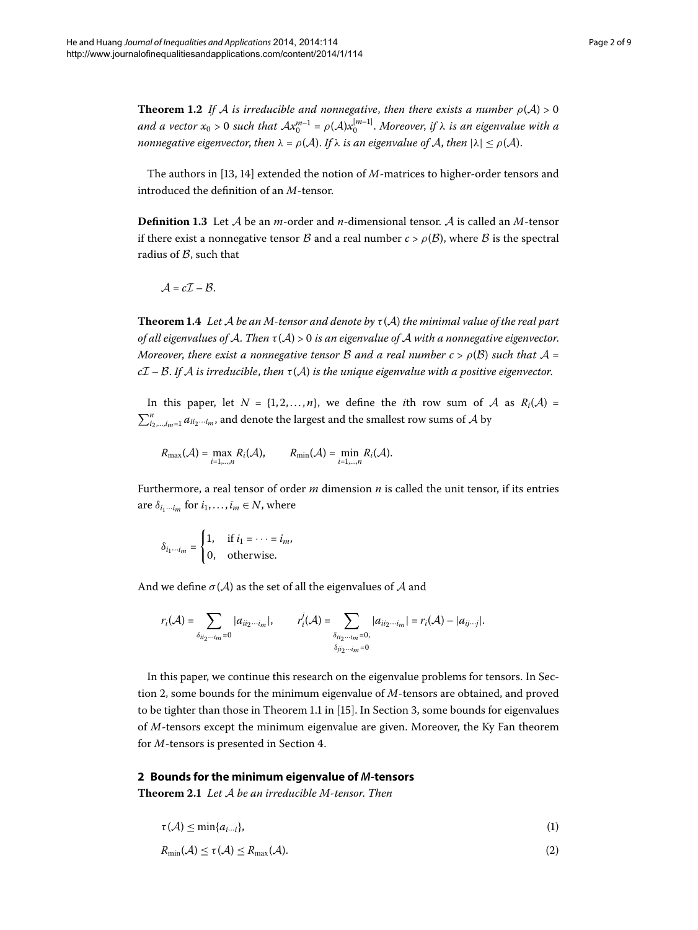**Theorem 1.2** If A is irreducible and nonnegative, then there exists a number  $\rho(\mathcal{A}) > 0$ *and a vector*  $x_0 > 0$  such that  $Ax_0^{m-1} = \rho(A)x_0^{[m-1]}$ . Moreover, if  $\lambda$  is an eigenvalue with a *nonnegative eigenvector, then*  $\lambda = \rho(A)$ . If  $\lambda$  *is an eigenvalue of* A, *then*  $|\lambda| \leq \rho(A)$ .

The authors in  $[13, 14]$  $[13, 14]$  extended the notion of  $M$ -matrices to higher-order tensors and introduced the definition of an *M*-tensor.

**Definition 1.3** Let  $A$  be an *m*-order and *n*-dimensional tensor.  $A$  is called an  $M$ -tensor if there exist a nonnegative tensor  $\beta$  and a real number  $c > \rho(\beta)$ , where  $\beta$  is the spectral radius of  $\beta$ , such that

 $A = cI - B$ .

**Theorem 1.4** Let A be an M-tensor and denote by  $\tau(A)$  the minimal value of the real part *of all eigenvalues of* A. *Then τ* (A)> *is an eigenvalue of* A *with a nonnegative eigenvector*. *Moreover, there exist a nonnegative tensor B and a real number*  $c > \rho(B)$  *such that*  $\mathcal{A} =$ *c*I – B. *If* A *is irreducible*, *then τ* (A) *is the unique eigenvalue with a positive eigenvector*.

In this paper, let  $N = \{1, 2, ..., n\}$ , we define the *i*th row sum of A as  $R_i(A) =$  $\sum_{i_2,\dots,i_m=1}^n a_{ii_2\cdots i_m}$ , and denote the largest and the smallest row sums of  ${\mathcal{A}}$  by

$$
R_{\max}(\mathcal{A}) = \max_{i=1,\dots,n} R_i(\mathcal{A}), \qquad R_{\min}(\mathcal{A}) = \min_{i=1,\dots,n} R_i(\mathcal{A}).
$$

Furthermore, a real tensor of order *m* dimension *n* is called the unit tensor, if its entries are  $\delta_{i_1\cdots i_m}$  for  $i_1,\ldots,i_m \in \mathbb{N}$ , where

$$
\delta_{i_1\cdots i_m} = \begin{cases} 1, & \text{if } i_1 = \cdots = i_m, \\ 0, & \text{otherwise.} \end{cases}
$$

And we define  $\sigma(A)$  as the set of all the eigenvalues of A and

$$
r_i(\mathcal{A}) = \sum_{\delta_{ii_2\cdots i_m}=0} |a_{ii_2\cdots i_m}|, \qquad r_i^j(\mathcal{A}) = \sum_{\delta_{ii_2\cdots i_m}=0, \atop \delta_{ji_2\cdots i_m}=0} |a_{ii_2\cdots i_m}| = r_i(\mathcal{A}) - |a_{ij\cdots j}|.
$$

<span id="page-1-1"></span><span id="page-1-0"></span>In this paper, we continue this research on the eigenvalue problems for tensors. In Section 2, some bounds for the minimum eigenvalue of *M*-tensors are obtained, and proved to be tighter than those in Theorem 1.1 in [15[\]](#page-8-3). In Section 3[,](#page-4-0) some bounds for eigenvalues of *M*-tensors except the minimum eigenvalue are given. Moreover, the Ky Fan theorem for *M*-tensors is presented in Section 4.

#### **2 Bounds for the minimum eigenvalue of** *M***-tensors**

**Theorem .** *Let* A *be an irreducible M-tensor*. *Then*

$$
\tau(\mathcal{A}) \le \min\{a_{i\cdots i}\},\tag{1}
$$

$$
R_{\min}(\mathcal{A}) \le \tau(\mathcal{A}) \le R_{\max}(\mathcal{A}).
$$
\n(2)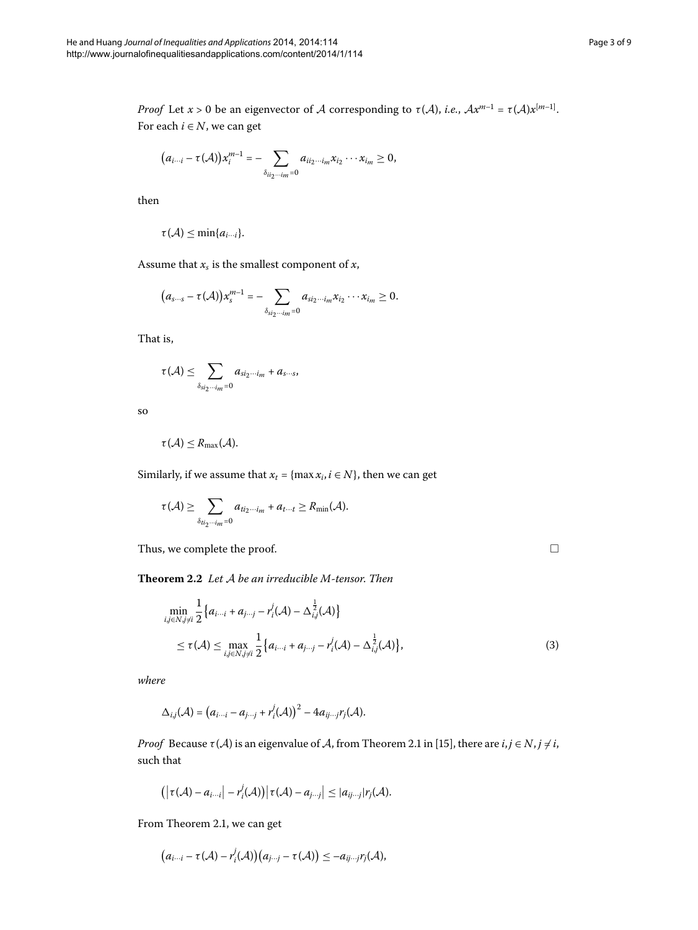*Proof* Let  $x > 0$  be an eigenvector of A corresponding to  $\tau(A)$ , *i.e.*,  $Ax^{m-1} = \tau(A)x^{[m-1]}$ . For each  $i \in N$ , we can get

$$
(a_{i\cdots i}-\tau(\mathcal{A}))x_i^{m-1}=-\sum_{\delta_{ii_2\cdots i_m}=0}a_{ii_2\cdots i_m}x_{i_2}\cdots x_{i_m}\geq 0,
$$

then

$$
\tau(\mathcal{A})\leq \min\{a_{i\cdots i}\}.
$$

Assume that  $x_s$  is the smallest component of  $x$ ,

$$
(a_{s\cdots s}-\tau(\mathcal{A}))x_s^{m-1}=-\sum_{\delta_{si_2\cdots im}=0}a_{si_2\cdots i_m}x_{i_2}\cdots x_{i_m}\geq 0.
$$

That is,

$$
\tau(\mathcal{A}) \leq \sum_{\delta_{s i_2 \cdots i_m} = 0} a_{s i_2 \cdots i_m} + a_{s \cdots s},
$$

so

$$
\tau(\mathcal{A})\leq R_{\max}(\mathcal{A}).
$$

<span id="page-2-0"></span>Similarly, if we assume that  $x_t = \{ \max x_i, i \in N \}$ , then we can get

$$
\tau(\mathcal{A}) \geq \sum_{\delta_{t i_2 \cdots i_m} = 0} a_{t i_2 \cdots i_m} + a_{t \cdots t} \geq R_{\min}(\mathcal{A}).
$$

Thus, we complete the proof.

 $\Box$ 

**Theorem .** *Let* A *be an irreducible M-tensor*. *Then*

$$
\min_{i,j\in N, j\neq i} \frac{1}{2} \{ a_{i\cdots i} + a_{j\cdots j} - r_i^j(\mathcal{A}) - \Delta_{i,j}^{\frac{1}{2}}(\mathcal{A}) \}
$$
\n
$$
\leq \tau(\mathcal{A}) \leq \max_{i,j\in N, j\neq i} \frac{1}{2} \{ a_{i\cdots i} + a_{j\cdots j} - r_i^j(\mathcal{A}) - \Delta_{i,j}^{\frac{1}{2}}(\mathcal{A}) \},\tag{3}
$$

*where*

$$
\Delta_{i,j}(\mathcal{A})=\big(a_{i\cdots i}-a_{j\cdots j}+r_i^j(\mathcal{A})\big)^2-4a_{ij\cdots j}r_j(\mathcal{A}).
$$

*Proof* Because  $\tau(A)$  is an eigenvalue of A, from Theorem 2.1 in [15[\]](#page-8-3), there are  $i, j \in N, j \neq i$ , such that

$$
\left(\left|\tau(\mathcal{A})-a_{i\cdots i}\right| - r_i^j(\mathcal{A})\right)\left|\tau(\mathcal{A})-a_{j\cdots j}\right| \leq |a_{ij\cdots j}|r_j(\mathcal{A}).
$$

From Theorem 2[.](#page-1-1)1, we can get

$$
(a_{i\cdots i}-\tau(\mathcal{A})-r_i^j(\mathcal{A}))(a_{j\cdots j}-\tau(\mathcal{A}))\leq -a_{ij\cdots j}r_j(\mathcal{A}),
$$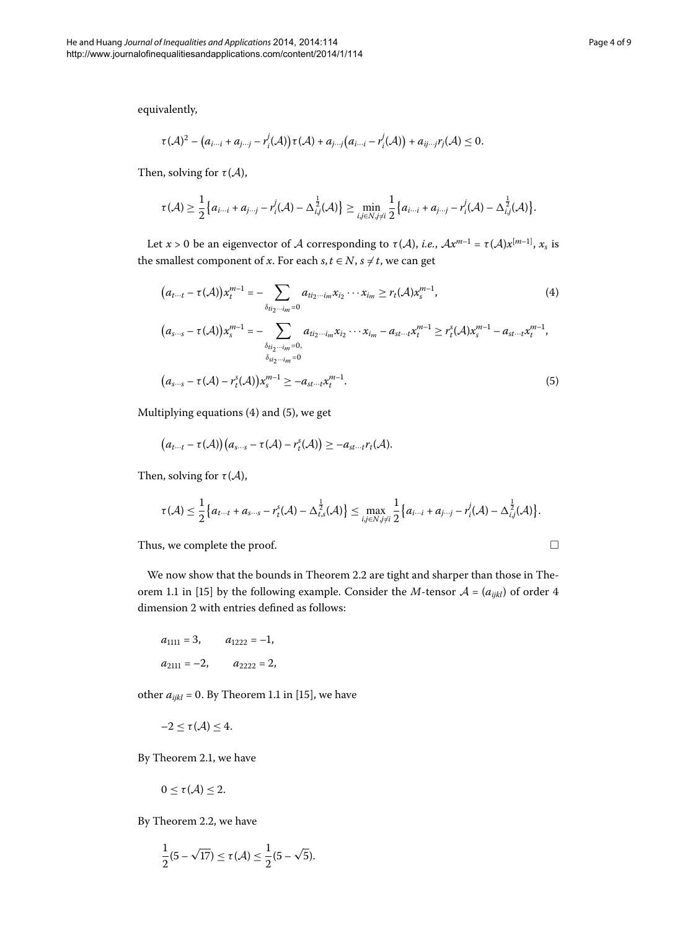equivalently,

$$
\tau(\mathcal{A})^2 - (a_{i\cdots i} + a_{j\cdots j} - r_i^j(\mathcal{A}))\tau(\mathcal{A}) + a_{j\cdots j}(a_{i\cdots i} - r_i^j(\mathcal{A})) + a_{ij\cdots j}r_j(\mathcal{A}) \leq 0.
$$

Then, solving for  $\tau(A)$ ,

<span id="page-3-0"></span>
$$
\tau(\mathcal{A}) \geq \frac{1}{2} \big\{ a_{i \cdots i} + a_{j \cdots j} - r_i^j(\mathcal{A}) - \Delta_{i,j}^{\frac{1}{2}}(\mathcal{A}) \big\} \geq \min_{i,j \in N, j \neq i} \frac{1}{2} \big\{ a_{i \cdots i} + a_{j \cdots j} - r_i^j(\mathcal{A}) - \Delta_{i,j}^{\frac{1}{2}}(\mathcal{A}) \big\}.
$$

Let  $x > 0$  be an eigenvector of A corresponding to  $\tau(A)$ , *i.e.*,  $Ax^{m-1} = \tau(A)x^{[m-1]}$ ,  $x_s$  is the smallest component of *x*. For each *s*,  $t \in N$ ,  $s \neq t$ , we can get

$$
(a_{t\cdots t} - \tau(\mathcal{A}))x_t^{m-1} = -\sum_{\delta_{t i_2 \cdots i_m} = 0} a_{t i_2 \cdots i_m} x_{i_2} \cdots x_{i_m} \ge r_t(\mathcal{A})x_s^{m-1},
$$
(4)  

$$
(a_{s\cdots s} - \tau(\mathcal{A}))x_s^{m-1} = -\sum_{\delta_{t i_2 \cdots i_m} = 0, a_{t i_2 \cdots i_m} x_{i_2} \cdots x_{i_m} - a_{s t \cdots t} x_t^{m-1} \ge r_t^s(\mathcal{A})x_s^{m-1} - a_{s t \cdots t} x_t^{m-1},
$$

$$
(a_{s\cdots s} - \tau(\mathcal{A}) - r_t^s(\mathcal{A}))x_s^{m-1} \ge -a_{s t \cdots t} x_t^{m-1}.
$$
(5)

Multiplying equations  $(4)$  $(4)$  and  $(5)$ , we get

$$
(a_{t\cdots t}-\tau(\mathcal{A}))(a_{s\cdots s}-\tau(\mathcal{A})-r_{t}^{s}(\mathcal{A}))\geq-a_{st\cdots t}r_{t}(\mathcal{A}).
$$

Then, solving for  $\tau(A)$ ,

$$
\tau(\mathcal{A}) \leq \frac{1}{2} \big\{ a_{t \cdots t} + a_{s \cdots s} - r_t^s(\mathcal{A}) - \Delta_{t,s}^{\frac{1}{2}}(\mathcal{A}) \big\} \leq \max_{i,j \in N, j \neq i} \frac{1}{2} \big\{ a_{i \cdots i} + a_{j \cdots j} - r_i^j(\mathcal{A}) - \Delta_{i,j}^{\frac{1}{2}}(\mathcal{A}) \big\}.
$$

Thus, we complete the proof.

We now show that the bounds in Theorem 2[.](#page-2-0)2 are tight and sharper than those in The-orem 1.1 in [15[\]](#page-8-3) by the following example. Consider the *M*-tensor  $A = (a_{ijkl})$  of order 4 dimension 2 with entries defined as follows:

$$
a_{1111} = 3,
$$
  $a_{1222} = -1,$   
 $a_{2111} = -2,$   $a_{2222} = 2,$ 

other  $a_{ijkl} = 0$ . By Theorem 1.1 in [\[](#page-8-3)15], we have

$$
-2 \leq \tau(\mathcal{A}) \leq 4.
$$

By Theorem 2.1, we have

$$
0\leq \tau(\mathcal{A})\leq 2.
$$

By Theorem 2.2, we have

$$
\frac{1}{2}(5-\sqrt{17})\leq \tau(\mathcal{A})\leq \frac{1}{2}(5-\sqrt{5}).
$$

<span id="page-3-1"></span> $\Box$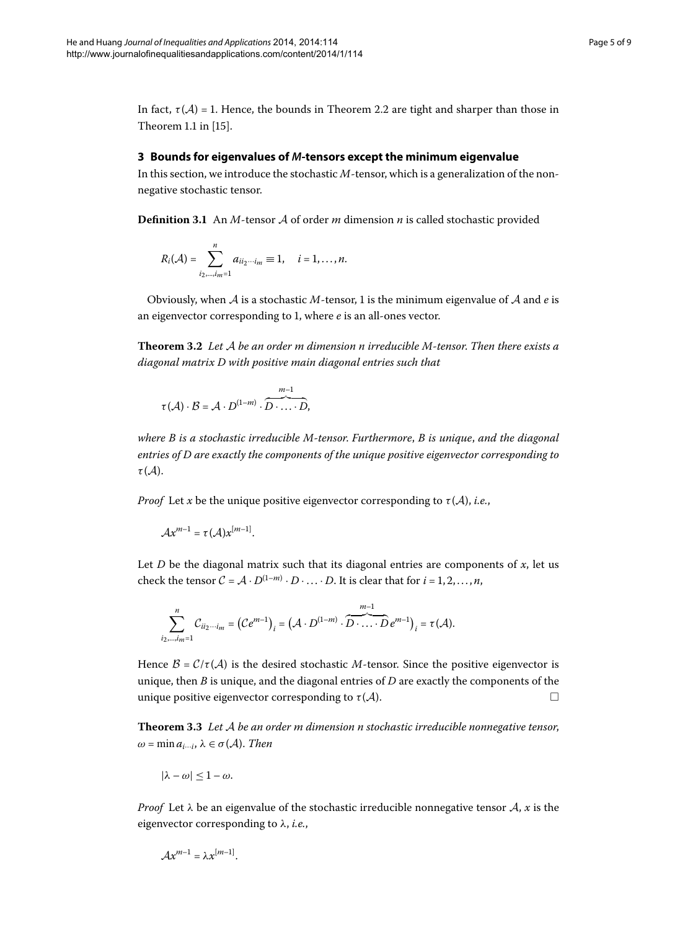<span id="page-4-0"></span>In fact,  $\tau(A) = 1$ [.](#page-2-0) Hence, the bounds in Theorem 2.2 are tight and sharper than those in Theorem 1.1 in  $[15]$ .

#### **3 Bounds for eigenvalues of** *M***-tensors except the minimum eigenvalue**

In this section, we introduce the stochastic *M*-tensor, which is a generalization of the nonnegative stochastic tensor.

<span id="page-4-1"></span>**Definition 3.1** An  $M$ -tensor  $A$  of order  $m$  dimension  $n$  is called stochastic provided

$$
R_i(\mathcal{A}) = \sum_{i_2,...,i_m=1}^n a_{ii_2...i_m} \equiv 1, \quad i = 1,...,n.
$$

Obviously, when  $A$  is a stochastic  $M$ -tensor, 1 is the minimum eigenvalue of  $A$  and  $e$  is an eigenvector corresponding to 1, where *e* is an all-ones vector.

**Theorem .** *Let* A *be an order m dimension n irreducible M-tensor*. *Then there exists a diagonal matrix D with positive main diagonal entries such that*

$$
\tau(\mathcal{A})\cdot\mathcal{B}=\mathcal{A}\cdot D^{(1-m)}\cdot\overbrace{D\cdot\ldots\cdot D}^{m-1},
$$

*where B is a stochastic irreducible M-tensor*. *Furthermore*, *B is unique*, *and the diagonal entries of D are exactly the components of the unique positive eigenvector corresponding to τ* (A).

*Proof* Let *x* be the unique positive eigenvector corresponding to  $\tau(A)$ , *i.e.*,

$$
\mathcal{A}x^{m-1}=\tau(\mathcal{A})x^{[m-1]}.
$$

Let *D* be the diagonal matrix such that its diagonal entries are components of  $x$ , let us check the tensor  $C = A \cdot D^{(1-m)} \cdot D \cdot \ldots \cdot D$ . It is clear that for  $i = 1, 2, \ldots, n$ ,

<span id="page-4-2"></span>
$$
\sum_{i_2,\dots,i_m=1}^n C_{ii_2\cdots i_m} = (Ce^{m-1})_i = (A \cdot D^{(1-m)} \cdot \overbrace{D \cdot \ldots \cdot D}^{m-1} e^{m-1})_i = \tau(A).
$$

Hence  $B = C/\tau(A)$  is the desired stochastic *M*-tensor. Since the positive eigenvector is unique, then *B* is unique, and the diagonal entries of *D* are exactly the components of the unique positive eigenvector corresponding to  $\tau(A)$ .

**Theorem 3.3** Let A be an order m dimension n stochastic irreducible nonnegative tensor,  $\omega$  = min  $a_{i\cdots i}$ ,  $\lambda \in \sigma(\mathcal{A})$ . *Then* 

$$
|\lambda - \omega| \leq 1 - \omega.
$$

*Proof* Let  $\lambda$  be an eigenvalue of the stochastic irreducible nonnegative tensor  $\mathcal{A}$ ,  $\alpha$  is the eigenvector corresponding to *λ*, *i.e.*,

$$
\mathcal{A}x^{m-1}=\lambda x^{[m-1]}.
$$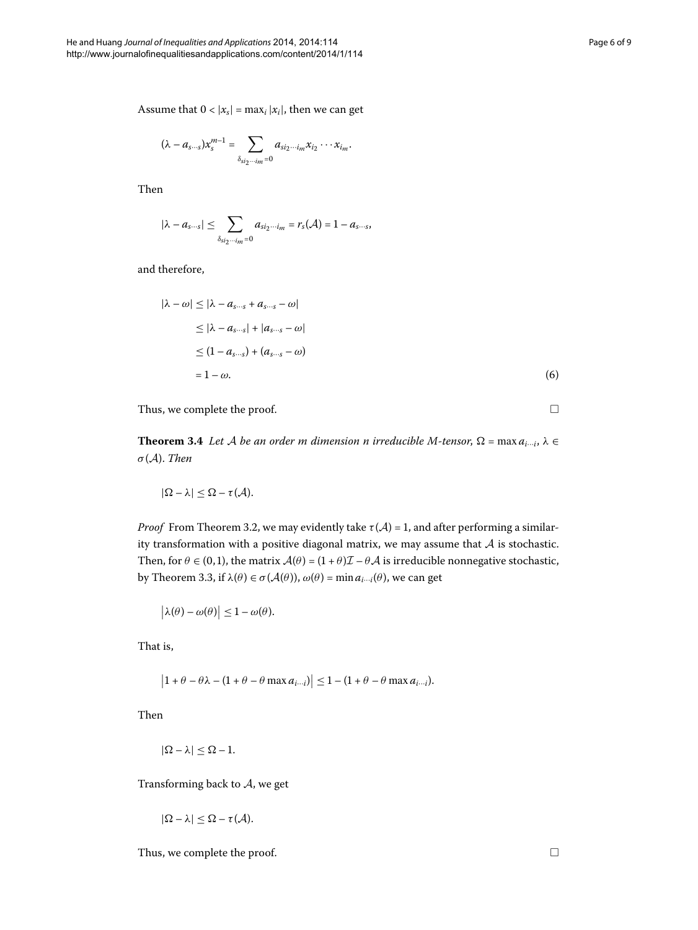Assume that  $0 < |x_s| = \max_i |x_i|$ , then we can get

$$
(\lambda - a_{s\cdots s})x_s^{m-1} = \sum_{\delta_{s i_2 \cdots i_m} = 0} a_{s i_2 \cdots i_m} x_{i_2} \cdots x_{i_m}.
$$

Then

$$
|\lambda - a_{s\cdots s}| \leq \sum_{\delta_{s} i_2 \cdots i_m = 0} a_{s i_2 \cdots i_m} = r_s(\mathcal{A}) = 1 - a_{s \cdots s},
$$

and therefore,

$$
|\lambda - \omega| \leq |\lambda - a_{s\cdots s} + a_{s\cdots s} - \omega|
$$
  
\n
$$
\leq |\lambda - a_{s\cdots s}| + |a_{s\cdots s} - \omega|
$$
  
\n
$$
\leq (1 - a_{s\cdots s}) + (a_{s\cdots s} - \omega)
$$
  
\n
$$
= 1 - \omega.
$$
 (6)

Thus, we complete the proof.

 $\Box$ 

**Theorem 3.4** Let A be an order m dimension n irreducible M-tensor,  $\Omega$  = max  $a_{i\cdots i}$ ,  $\lambda \in$ *σ*(A). *Then*

$$
|\Omega - \lambda| \leq \Omega - \tau(\mathcal{A}).
$$

*Proof* From Theorem 3.2, we may evidently take  $\tau(A) = 1$ , and after performing a similarity transformation with a positive diagonal matrix, we may assume that  $A$  is stochastic. Then, for  $\theta \in (0, 1)$ , the matrix  $\mathcal{A}(\theta) = (1 + \theta)\mathcal{I} - \theta\mathcal{A}$  is irreducible nonnegative stochastic, by Theorem 3.3, if  $\lambda(\theta) \in \sigma(\mathcal{A}(\theta))$ ,  $\omega(\theta) = \min a_{i \cdots i}(\theta)$ , we can get

$$
|\lambda(\theta) - \omega(\theta)| \leq 1 - \omega(\theta).
$$

That is,

$$
\left|1+\theta-\theta\lambda-(1+\theta-\theta\max a_{i\cdots i})\right|\leq 1-(1+\theta-\theta\max a_{i\cdots i}).
$$

Then

$$
|\Omega-\lambda|\leq \Omega-1.
$$

Transforming back to A, we get

$$
|\Omega-\lambda|\leq \Omega-\tau(\mathcal{A}).
$$

Thus, we complete the proof.  $\Box$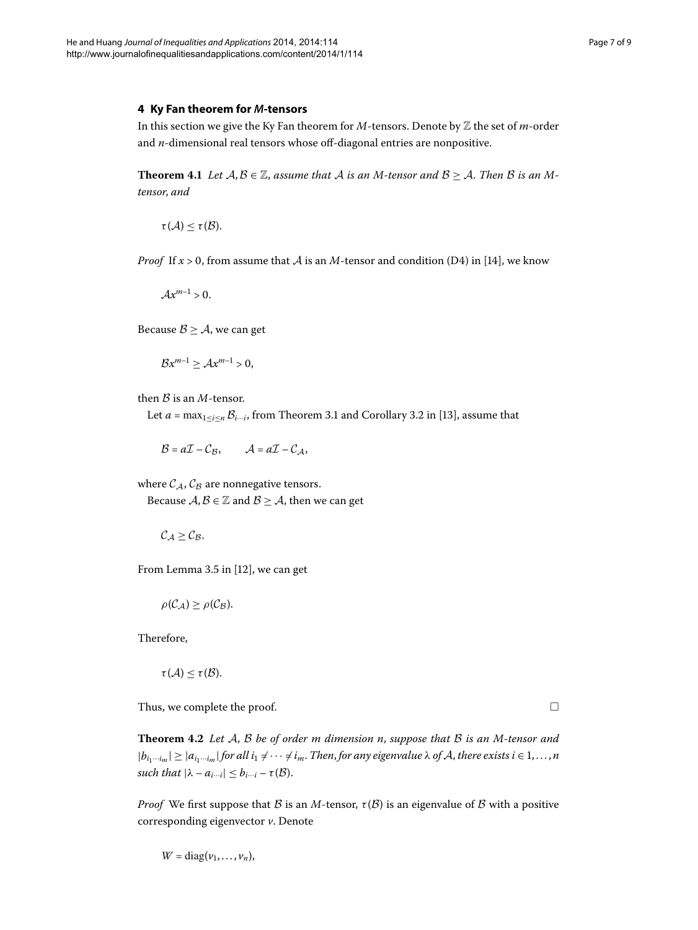#### <span id="page-6-0"></span>**4 Ky Fan theorem for** *M***-tensors**

In this section we give the Ky Fan theorem for *M*-tensors. Denote by Z the set of *m*-order and *n*-dimensional real tensors whose off-diagonal entries are nonpositive.

**Theorem 4.1** Let  $A, B \in \mathbb{Z}$ , assume that A is an M-tensor and  $B \geq A$ . Then B is an M*tensor*, *and*

 $\tau(\mathcal{A}) < \tau(\mathcal{B}).$ 

*Proof* If  $x > 0$ , from assume that A is an M-tensor and condition (D4) in [\[](#page-8-2)14], we know

 $Ax^{m-1} > 0.$ 

Because  $B \geq A$ , we can get

$$
\mathcal{B}x^{m-1}\geq \mathcal{A}x^{m-1}>0,
$$

then  $B$  is an  $M$ -tensor.

Let  $a = \max_{1 \le i \le n} \mathcal{B}_{i \cdots i}$ , from Theorem 3.1 and Corollary 3.2 in [13[\]](#page-8-1), assume that

$$
\mathcal{B} = a\mathcal{I} - \mathcal{C}_{\mathcal{B}}, \qquad \mathcal{A} = a\mathcal{I} - \mathcal{C}_{\mathcal{A}},
$$

where  $C_A$ ,  $C_B$  are nonnegative tensors. Because  $A, B \in \mathbb{Z}$  and  $B \geq A$ , then we can get

 $C_A \geq C_B$ .

From Lemma 3.5 in  $[12]$ , we can get

$$
\rho(C_{\mathcal{A}}) \geq \rho(C_{\mathcal{B}}).
$$

Therefore,

$$
\tau(\mathcal{A})\leq \tau(\mathcal{B}).
$$

Thus, we complete the proof.

**Theorem 4.2** Let A, B be of order m dimension n, suppose that B is an M-tensor and  $|b_{i_1\cdots i_m}| \geq |a_{i_1\cdots i_m}|$  *for all*  $i_1 \neq \cdots \neq i_m$ . *Then, for any eigenvalue*  $\lambda$  *of*  $A$ *, there exists*  $i \in 1, \ldots, n$ *such that*  $|\lambda - a_{i \cdots i}| \leq b_{i \cdots i} - \tau(\mathcal{B})$ .

*Proof* We first suppose that B is an M-tensor,  $\tau(\mathcal{B})$  is an eigenvalue of B with a positive corresponding eigenvector *v*. Denote

$$
W = \text{diag}(\nu_1, \ldots, \nu_n),
$$

 $\Box$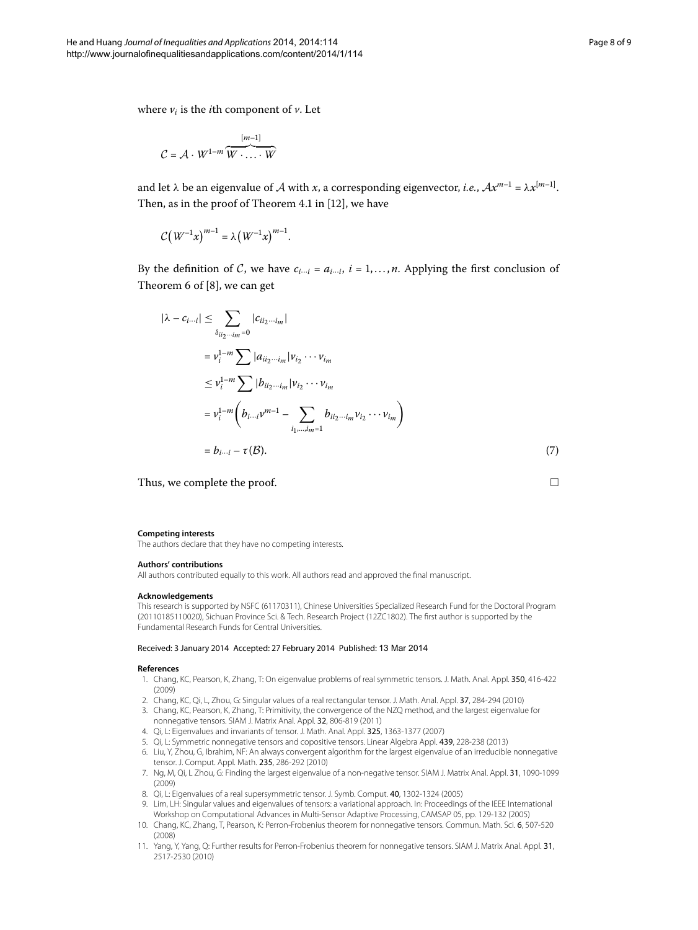where  $v_i$  is the *i*th component of  $v$ . Let

$$
C = \mathcal{A} \cdot W^{1-m} \overbrace{W \cdot \ldots \cdot W}^{[m-1]}
$$

and let  $\lambda$  be an eigenvalue of  $\lambda$  with  $x$ , a corresponding eigenvector, *i.e.*,  $Ax^{m-1} = \lambda x^{[m-1]}$ . Then, as in the proof of Theorem  $4.1$  in  $[12]$  $[12]$ , we have

$$
\mathcal{C}\big(W^{-1}x\big)^{m-1}=\lambda\big(W^{-1}x\big)^{m-1}.
$$

By the definition of C, we have  $c_{i\cdots i} = a_{i\cdots i}$ ,  $i = 1, \ldots, n$ . Applying the first conclusion of Theorem 6 of  $[8]$  $[8]$ , we can get

$$
|\lambda - c_{i\cdots i}| \leq \sum_{\delta_{ii_2\cdots i_m} = 0} |c_{ii_2\cdots i_m}|
$$
  
\n
$$
= v_i^{1-m} \sum |a_{ii_2\cdots i_m}|v_{i_2}\cdots v_{i_m}
$$
  
\n
$$
\leq v_i^{1-m} \sum |b_{ii_2\cdots i_m}|v_{i_2}\cdots v_{i_m}
$$
  
\n
$$
= v_i^{1-m} \left(b_{i\cdots i}v^{m-1} - \sum_{i_1,\ldots,i_m=1} b_{ii_2\cdots i_m}v_{i_2}\cdots v_{i_m}\right)
$$
  
\n
$$
= b_{i\cdots i} - \tau(B).
$$
 (7)

Thus, we complete the proof.

#### **Competing interests**

The authors declare that they have no competing interests.

#### **Authors' contributions**

<span id="page-7-0"></span>All authors contributed equally to this work. All authors read and approved the final manuscript.

#### **Acknowledgements**

This research is supported by NSFC (61170311), Chinese Universities Specialized Research Fund for the Doctoral Program (20110185110020), Sichuan Province Sci. & Tech. Research Project (12ZC1802). The first author is supported by the Fundamental Research Funds for Central Universities.

#### Received: 3 January 2014 Accepted: 27 February 2014 Published: 13 Mar 2014

#### <span id="page-7-2"></span><span id="page-7-1"></span>**References**

- 1. Chang, KC, Pearson, K, Zhang, T: On eigenvalue problems of real symmetric tensors. J. Math. Anal. Appl. 350, 416-422 (2009)
- <span id="page-7-3"></span>2. Chang, KC, Qi, L, Zhou, G: Singular values of a real rectangular tensor. J. Math. Anal. Appl. 37, 284-294 (2010)
- 3. Chang, KC, Pearson, K, Zhang, T: Primitivity, the convergence of the NZQ method, and the largest eigenvalue for nonnegative tensors. SIAM J. Matrix Anal. Appl. 32, 806-819 (2011)
- <span id="page-7-4"></span>4. Qi, L: Eigenvalues and invariants of tensor. J. Math. Anal. Appl. 325, 1363-1377 (2007)
- 5. Qi, L: Symmetric nonnegative tensors and copositive tensors. Linear Algebra Appl. 439, 228-238 (2013)
- 6. Liu, Y, Zhou, G, Ibrahim, NF: An always convergent algorithm for the largest eigenvalue of an irreducible nonnegative tensor. J. Comput. Appl. Math. 235, 286-292 (2010)
- 7. Ng, M, Qi, L Zhou, G: Finding the largest eigenvalue of a non-negative tensor. SIAM J. Matrix Anal. Appl. 31, 1090-1099 (2009)
- 8. Qi, L: Eigenvalues of a real supersymmetric tensor. J. Symb. Comput. 40, 1302-1324 (2005)
- 9. Lim, LH: Singular values and eigenvalues of tensors: a variational approach. In: Proceedings of the IEEE International Workshop on Computational Advances in Multi-Sensor Adaptive Processing, CAMSAP 05, pp. 129-132 (2005)
- 10. Chang, KC, Zhang, T, Pearson, K: Perron-Frobenius theorem for nonnegative tensors. Commun. Math. Sci. 6, 507-520 (2008)
- 11. Yang, Y, Yang, Q: Further results for Perron-Frobenius theorem for nonnegative tensors. SIAM J. Matrix Anal. Appl. 31, 2517-2530 (2010)

 $\Box$